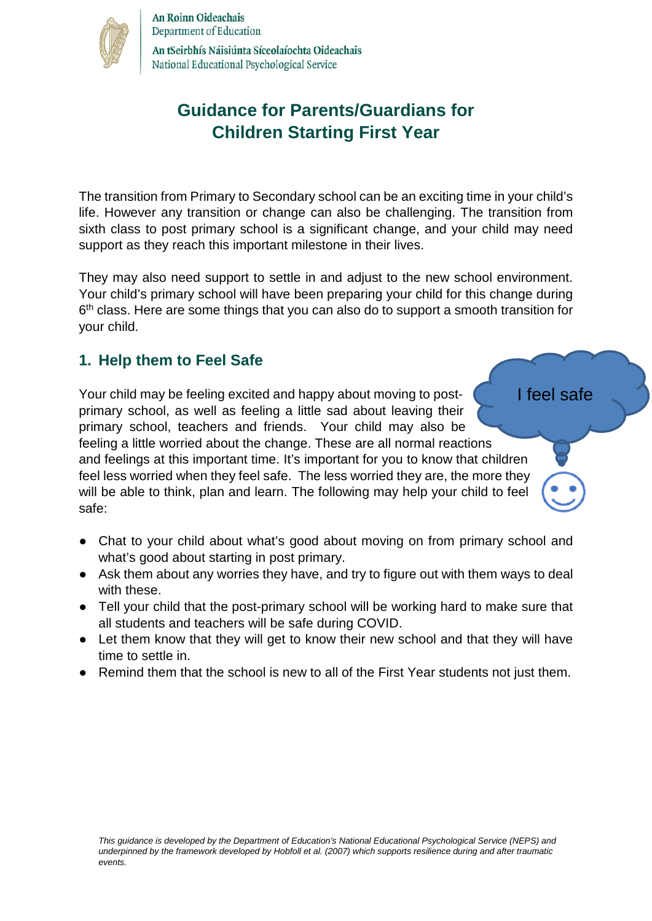

An Roinn Oideachais Department of Education An tSeirbhís Náisiúnta Síceolaíochta Oideachais National Educational Psychological Service

# **Guidance for Parents/Guardians for Children Starting First Year**

The transition from Primary to Secondary school can be an exciting time in your child's life. However any transition or change can also be challenging. The transition from sixth class to post primary school is a significant change, and your child may need support as they reach this important milestone in their lives.

They may also need support to settle in and adjust to the new school environment. Your child's primary school will have been preparing your child for this change during 6<sup>th</sup> class. Here are some things that you can also do to support a smooth transition for your child.

#### **1. Help them to Feel Safe**

Your child may be feeling excited and happy about moving to postprimary school, as well as feeling a little sad about leaving their primary school, teachers and friends. Your child may also be feeling a little worried about the change. These are all normal reactions and feelings at this important time. It's important for you to know that children feel less worried when they feel safe. The less worried they are, the more they will be able to think, plan and learn. The following may help your child to feel safe:

- Chat to your child about what's good about moving on from primary school and what's good about starting in post primary.
- Ask them about any worries they have, and try to figure out with them ways to deal with these.
- Tell your child that the post-primary school will be working hard to make sure that all students and teachers will be safe during COVID.
- Let them know that they will get to know their new school and that they will have time to settle in.
- Remind them that the school is new to all of the First Year students not just them.

I feel safe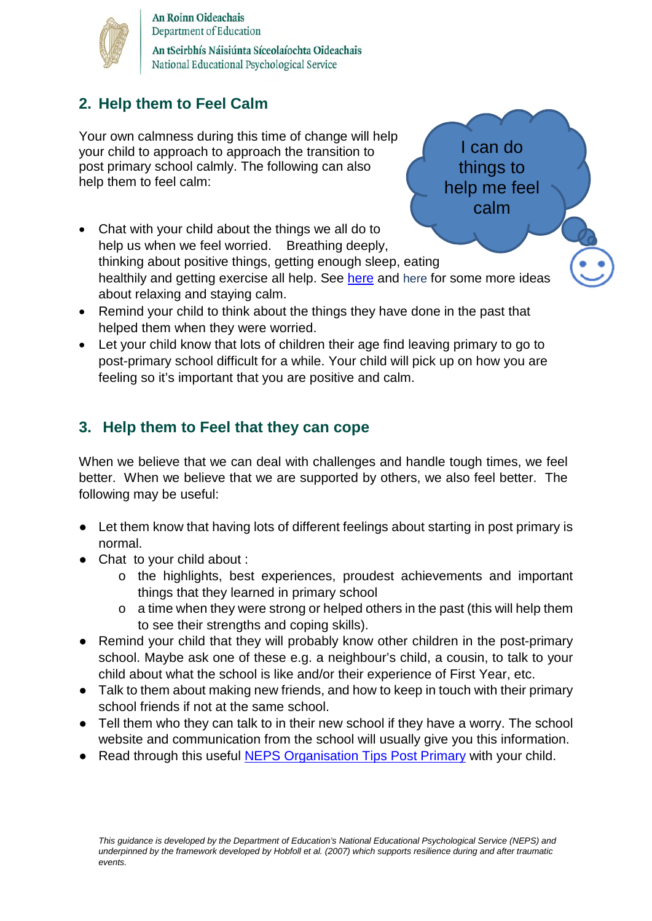

An Roinn Oideachais Department of Education An tSeirbhís Náisiúnta Síceolaíochta Oideachais National Educational Psychological Service

# **2. Help them to Feel Calm**

Your own calmness during this time of change will help your child to approach to approach the transition to post primary school calmly. The following can also help them to feel calm:

- Chat with your child about the things we all do to help us when we feel worried. Breathing deeply, thinking about positive things, getting enough sleep, eating healthily and getting exercise all help. See here and here for some more ideas about relaxing and staying calm.
- Remind your child to think about the things they have done in the past that helped them when they were worried.
- Let your child know that lots of children their age find leaving primary to go to post-primary school difficult for a while. Your child will pick up on how you are feeling so it's important that you are positive and calm.

# **3. Help them to Feel that they can cope**

When we believe that we can deal with challenges and handle tough times, we feel better. When we believe that we are supported by others, we also feel better. The following may be useful:

- Let them know that having lots of different feelings about starting in post primary is normal.
- Chat to your child about :
	- o the highlights, best experiences, proudest achievements and important things that they learned in primary school
	- o a time when they were strong or helped others in the past (this will help them to see their strengths and coping skills).
- Remind your child that they will probably know other children in the post-primary school. Maybe ask one of these e.g. a neighbour's child, a cousin, to talk to your child about what the school is like and/or their experience of First Year, etc.
- Talk to them about making new friends, and how to keep in touch with their primary school friends if not at the same school.
- Tell them who they can talk to in their new school if they have a worry. The school website and communication from the school will usually give you this information.
- Read through this useful NEPS Organisation Tips Post Primary with your child.

I can do things to help me feel calm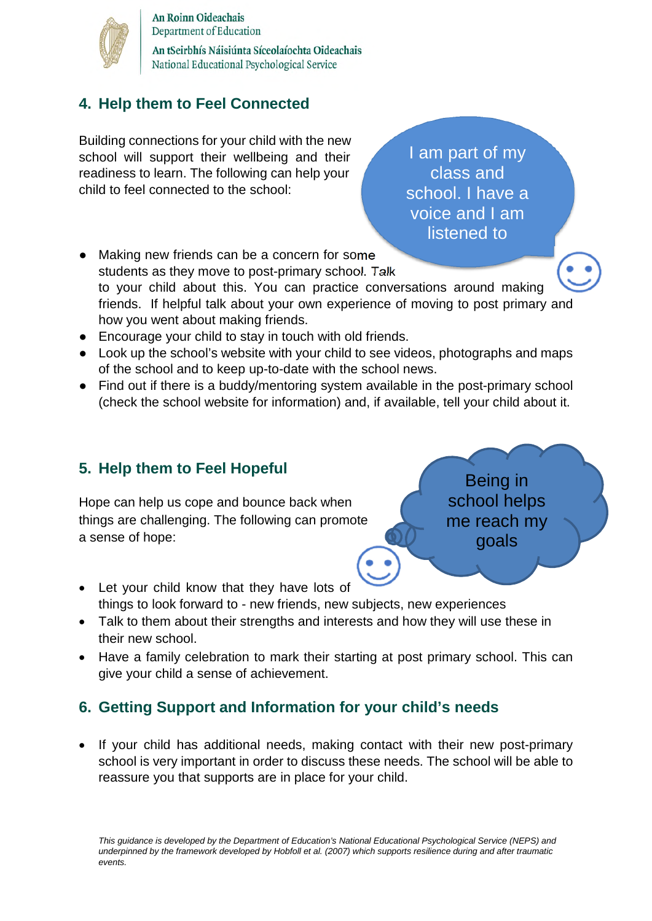

An Roinn Oideachais Department of Education An tSeirbhís Náisiúnta Síceolaíochta Oideachais National Educational Psychological Service

# **4. Help them to Feel Connected**

Building connections for your child with the new school will support their wellbeing and their readiness to learn. The following can help your child to feel connected to the school:

- Making new friends can be a concern for some students as they move to post-primary school. Talk to your child about this. You can practice conversations around making friends. If helpful talk about your own experience of moving to post primary and how you went about making friends.
- Encourage your child to stay in touch with old friends.
- Look up the school's website with your child to see videos, photographs and maps of the school and to keep up-to-date with the school news.
- Find out if there is a buddy/mentoring system available in the post-primary school (check the school website for information) and, if available, tell your child about it.

#### **5. Help them to Feel Hopeful**

Hope can help us cope and bounce back when things are challenging. The following can promote a sense of hope:

Being in school helps me reach my goals

- Let your child know that they have lots of things to look forward to - new friends, new subjects, new experiences
- Talk to them about their strengths and interests and how they will use these in their new school.
- Have a family celebration to mark their starting at post primary school. This can give your child a sense of achievement.

#### **6. Getting Support and Information for your child's needs**

 If your child has additional needs, making contact with their new post-primary school is very important in order to discuss these needs. The school will be able to reassure you that supports are in place for your child.

*This guidance is developed by the Department of Education's National Educational Psychological Service (NEPS) and underpinned by the framework developed by Hobfoll et al. (2007) which supports resilience during and after traumatic events.*

I am part of my class and school. I have a voice and I am listened to